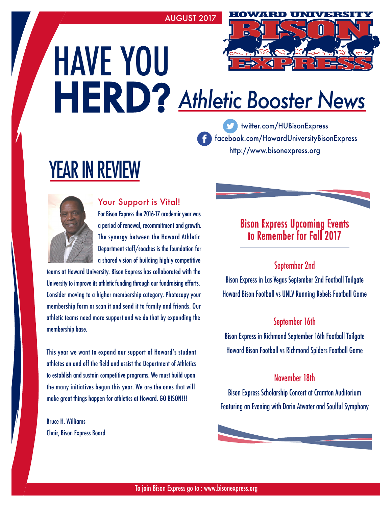AUGUST 2017

# HAVE YOU HERD? *Athletic Booster News*

 $\Box$ 

http://www.bisonexpress.org facebook.com/HowardUniversityBisonExpress twitter.com/HUBisonExpress

# YEAR IN REVIEW



#### Your Support is Vital!

For Bison Express the 2016-17 academic year was a period of renewal, recommitment and growth. The synergy between the Howard Athletic Department staff/coaches is the foundation for a shared vision of building highly competitive

teams at Howard University. Bison Express has collaborated with the University to improve its athletic funding through our fundraising efforts. Consider moving to a higher membership category. Photocopy your membership form or scan it and send it to family and friends. Our athletic teams need more support and we do that by expanding the membership base.

This year we want to expand our support of Howard's student athletes on and off the field and assist the Department of Athletics to establish and sustain competitive programs. We must build upon the many initiatives begun this year. We are the ones that will make great things happen for athletics at Howard. GO BISON!!!

Bruce H. Williams Chair, Bison Express Board

# Bison Express Upcoming Events to Remember for Fall 2017

#### September 2nd

Bison Express in Las Vegas September 2nd Football Tailgate Howard Bison Football vs UNLV Running Rebels Football Game

#### September 16th

Bison Express in Richmond September 16th Football Tailgate Howard Bison Football vs Richmond Spiders Football Game

#### November 18th

Bison Express Scholarship Concert at Cramton Auditorium Featuring an Evening with Darin Atwater and Soulful Symphony

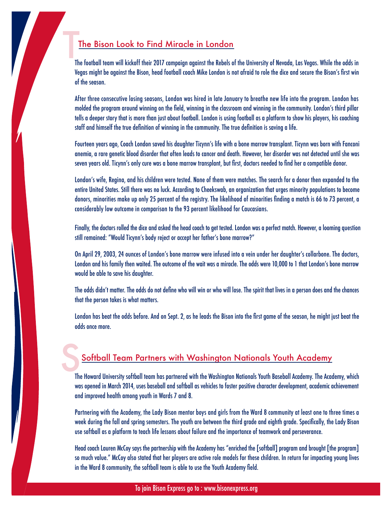#### The Bison Look to Find Miracle in London

The football team will kickoff their 2017 campaign against the Rebels of the University of Nevada, Las Vegas. While the odds in Vegas might be against the Bison, head football coach Mike London is not afraid to role the dice and secure the Bison's first win of the season. T

After three consecutive losing seasons, London was hired in late January to breathe new life into the program. London has molded the program around winning on the field, winning in the classroom and winning in the community. London's third pillar tells a deeper story that is more than just about football. London is using football as a platform to show his players, his coaching staff and himself the true definition of winning in the community. The true definition is saving a life.

Fourteen years ago, Coach London saved his daughter Ticynn's life with a bone marrow transplant. Ticynn was born with Fanconi anemia, a rare genetic blood disorder that often leads to cancer and death. However, her disorder was not detected until she was seven years old. Ticynn's only cure was a bone marrow transplant, but first, doctors needed to find her a compatible donor.

London's wife, Regina, and his children were tested. None of them were matches. The search for a donor then expanded to the entire United States. Still there was no luck. According to Cheekswab, an organization that urges minority populations to become donors, minorities make up only 25 percent of the registry. The likelihood of minorities finding a match is 66 to 73 percent, a considerably low outcome in comparison to the 93 percent likelihood for Caucasians.

Finally, the doctors rolled the dice and asked the head coach to get tested. London was a perfect match. However, a looming question still remained: "Would Ticynn's body reject or accept her father's bone marrow?"

On April 29, 2003, 24 ounces of London's bone marrow were infused into a vein under her daughter's collarbone. The doctors, London and his family then waited. The outcome of the wait was a miracle. The odds were 10,000 to 1 that London's bone marrow would be able to save his daughter.

The odds didn't matter. The odds do not define who will win or who will lose. The spirit that lives in a person does and the chances that the person takes is what matters.

London has beat the odds before. And on Sept. 2, as he leads the Bison into the first game of the season, he might just beat the odds once more.

## Softball Team Partners with Washington Nationals Youth Academy

The Howard University softball team has partnered with the Washington Nationals Youth Baseball Academy. The Academy, which was opened in March 2014, uses baseball and softball as vehicles to foster positive character development, academic achievement and improved health among youth in Wards 7 and 8. S

Partnering with the Academy, the Lady Bison mentor boys and girls from the Ward 8 community at least one to three times a week during the fall and spring semesters. The youth are between the third grade and eighth grade. Specifically, the Lady Bison use softball as a platform to teach life lessons about failure and the importance of teamwork and perseverance.

Head coach Lauren McCoy says the partnership with the Academy has "enriched the [softball] program and brought [the program] so much value." McCoy also stated that her players are active role models for these children. In return for impacting young lives in the Ward 8 community, the softball team is able to use the Youth Academy field.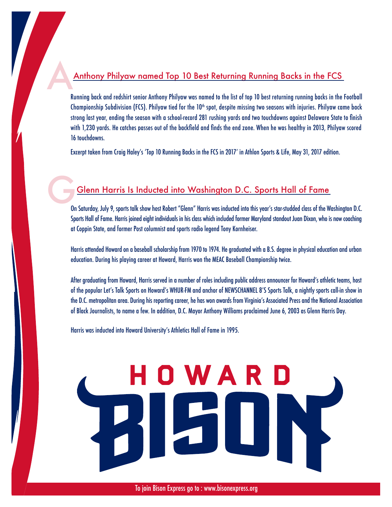#### Anthony Philyaw named Top 10 Best Returning Running Backs in the FCS

Running back and redshirt senior Anthony Philyaw was named to the list of top 10 best returning running backs in the Football Championship Subdivision (FCS). Philyaw tied for the 10<sup>th</sup> spot, despite missing two seasons with injuries. Philyaw came back strong last year, ending the season with a school-record 281 rushing yards and two touchdowns against Delaware State to finish with 1,230 yards. He catches passes out of the backfield and finds the end zone. When he was healthy in 2013, Philyaw scored 16 touchdowns. A

Excerpt taken from Craig Haley's 'Top 10 Running Backs in the FCS in 2017' in Athlon Sports & Life, May 31, 2017 edition.

## Glenn Harris Is Inducted into Washington D.C. Sports Hall of Fame

On Saturday, July 9, sports talk show host Robert "Glenn" Harris was inducted into this year's star-studded class of the Washington D.C. Sports Hall of Fame. Harris joined eight individuals in his class which included former Maryland standout Juan Dixon, who is now coaching at Coppin State, and former Post columnist and sports radio legend Tony Kornheiser. G<sub>on</sub>

Harris attended Howard on a baseball scholarship from 1970 to 1974. He graduated with a B.S. degree in physical education and urban education. During his playing career at Howard, Harris won the MEAC Baseball Championship twice.

After graduating from Howard, Harris served in a number of roles including public address announcer for Howard's athletic teams, host of the popular Let's Talk Sports on Howard's WHUR-FM and anchor of NEWSCHANNEL 8'S Sports Talk, a nightly sports call-in show in the D.C. metropolitan area. During his reporting career, he has won awards from Virginia's Associated Press and the National Association of Black Journalists, to name a few. In addition, D.C. Mayor Anthony Williams proclaimed June 6, 2003 as Glenn Harris Day.

Harris was inducted into Howard University's Athletics Hall of Fame in 1995.